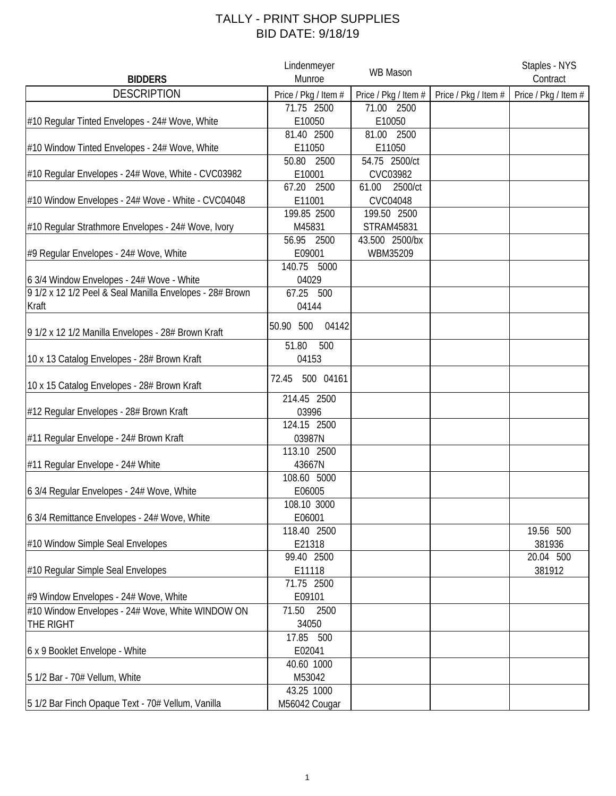## TALLY - PRINT SHOP SUPPLIES BID DATE: 9/18/19

| <b>BIDDERS</b>                                           | Lindenmeyer<br>Munroe | <b>WB Mason</b>      |                      | Staples - NYS<br>Contract |
|----------------------------------------------------------|-----------------------|----------------------|----------------------|---------------------------|
| <b>DESCRIPTION</b>                                       | Price / Pkg / Item #  | Price / Pkg / Item # | Price / Pkg / Item # | Price / Pkg / Item #      |
|                                                          | 71.75 2500            | 71.00 2500           |                      |                           |
| #10 Regular Tinted Envelopes - 24# Wove, White           | E10050                | E10050               |                      |                           |
|                                                          | 81.40 2500            | 81.00 2500           |                      |                           |
| #10 Window Tinted Envelopes - 24# Wove, White            | E11050                | E11050               |                      |                           |
|                                                          | 50.80 2500            | 54.75 2500/ct        |                      |                           |
| #10 Regular Envelopes - 24# Wove, White - CVC03982       | E10001                | CVC03982             |                      |                           |
|                                                          | 67.20 2500            | 2500/ct<br>61.00     |                      |                           |
| #10 Window Envelopes - 24# Wove - White - CVC04048       | E11001                | CVC04048             |                      |                           |
|                                                          | 199.85 2500           | 199.50 2500          |                      |                           |
| #10 Regular Strathmore Envelopes - 24# Wove, Ivory       | M45831                | <b>STRAM45831</b>    |                      |                           |
|                                                          | 56.95 2500            | 43.500 2500/bx       |                      |                           |
| #9 Regular Envelopes - 24# Wove, White                   | E09001                | WBM35209             |                      |                           |
|                                                          | 140.75 5000           |                      |                      |                           |
| 6 3/4 Window Envelopes - 24# Wove - White                | 04029                 |                      |                      |                           |
| 9 1/2 x 12 1/2 Peel & Seal Manilla Envelopes - 28# Brown | 67.25 500             |                      |                      |                           |
| Kraft                                                    | 04144                 |                      |                      |                           |
|                                                          |                       |                      |                      |                           |
| 9 1/2 x 12 1/2 Manilla Envelopes - 28# Brown Kraft       | 50.90 500<br>04142    |                      |                      |                           |
|                                                          | 51.80<br>500          |                      |                      |                           |
| 10 x 13 Catalog Envelopes - 28# Brown Kraft              | 04153                 |                      |                      |                           |
|                                                          |                       |                      |                      |                           |
| 10 x 15 Catalog Envelopes - 28# Brown Kraft              | 500 04161<br>72.45    |                      |                      |                           |
|                                                          | 214.45 2500           |                      |                      |                           |
| #12 Regular Envelopes - 28# Brown Kraft                  | 03996                 |                      |                      |                           |
|                                                          | 124.15 2500           |                      |                      |                           |
| #11 Regular Envelope - 24# Brown Kraft                   | 03987N                |                      |                      |                           |
|                                                          | 113.10 2500           |                      |                      |                           |
| #11 Regular Envelope - 24# White                         | 43667N                |                      |                      |                           |
|                                                          | 108.60 5000           |                      |                      |                           |
| 6 3/4 Regular Envelopes - 24# Wove, White                | E06005                |                      |                      |                           |
|                                                          | 108.10 3000           |                      |                      |                           |
| 6 3/4 Remittance Envelopes - 24# Wove, White             | E06001                |                      |                      |                           |
|                                                          | 118.40 2500           |                      |                      | 19.56 500                 |
| #10 Window Simple Seal Envelopes                         | E21318                |                      |                      | 381936                    |
|                                                          | 99.40 2500            |                      |                      | 20.04 500                 |
| #10 Regular Simple Seal Envelopes                        | E11118                |                      |                      | 381912                    |
|                                                          | 71.75 2500            |                      |                      |                           |
| #9 Window Envelopes - 24# Wove, White                    | E09101                |                      |                      |                           |
| #10 Window Envelopes - 24# Wove, White WINDOW ON         | 71.50<br>2500         |                      |                      |                           |
| THE RIGHT                                                | 34050                 |                      |                      |                           |
|                                                          | 17.85 500             |                      |                      |                           |
| 6 x 9 Booklet Envelope - White                           | E02041                |                      |                      |                           |
|                                                          | 40.60 1000            |                      |                      |                           |
| 5 1/2 Bar - 70# Vellum, White                            | M53042                |                      |                      |                           |
|                                                          | 43.25 1000            |                      |                      |                           |
| 5 1/2 Bar Finch Opaque Text - 70# Vellum, Vanilla        | M56042 Cougar         |                      |                      |                           |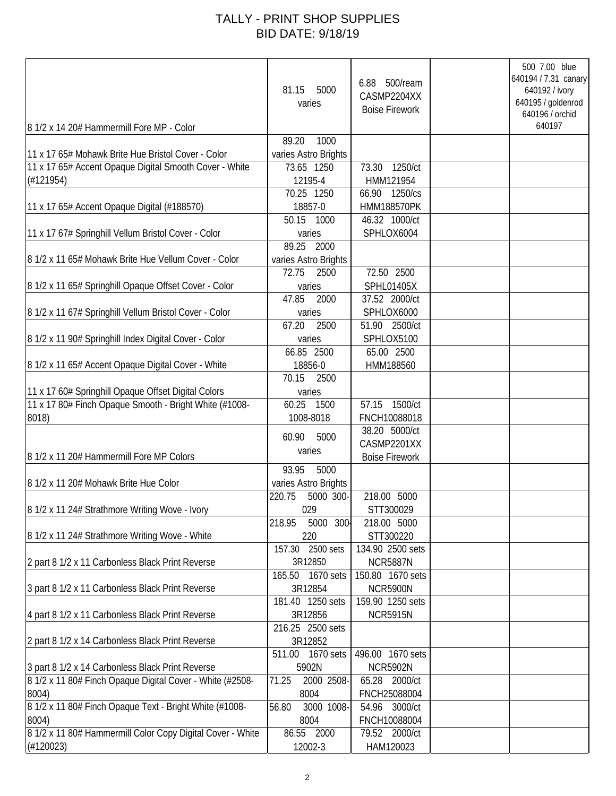## TALLY - PRINT SHOP SUPPLIES BID DATE: 9/18/19

| 8 1/2 x 14 20# Hammermill Fore MP - Color                  | 81.15<br>5000<br>varies               | 6.88 500/ream<br>CASMP2204XX<br><b>Boise Firework</b> | 500 7.00 blue<br>640194 / 7.31 canary<br>640192 / ivory<br>640195 / goldenrod<br>640196 / orchid<br>640197 |
|------------------------------------------------------------|---------------------------------------|-------------------------------------------------------|------------------------------------------------------------------------------------------------------------|
|                                                            | 89.20<br>1000                         |                                                       |                                                                                                            |
| 11 x 17 65# Mohawk Brite Hue Bristol Cover - Color         | varies Astro Brights                  |                                                       |                                                                                                            |
| 11 x 17 65# Accent Opaque Digital Smooth Cover - White     | 73.65 1250                            | 73.30 1250/ct                                         |                                                                                                            |
| (H121954)                                                  | 12195-4                               | HMM121954                                             |                                                                                                            |
|                                                            | 70.25 1250                            | 66.90 1250/cs                                         |                                                                                                            |
| 11 x 17 65# Accent Opaque Digital (#188570)                | 18857-0                               | <b>HMM188570PK</b>                                    |                                                                                                            |
|                                                            | 50.15 1000                            | 46.32 1000/ct                                         |                                                                                                            |
| 11 x 17 67# Springhill Vellum Bristol Cover - Color        | varies                                | SPHLOX6004                                            |                                                                                                            |
| 8 1/2 x 11 65# Mohawk Brite Hue Vellum Cover - Color       | 89.25 2000                            |                                                       |                                                                                                            |
|                                                            | varies Astro Brights<br>72.75<br>2500 | 72.50 2500                                            |                                                                                                            |
| 8 1/2 x 11 65# Springhill Opaque Offset Cover - Color      | varies                                | <b>SPHL01405X</b>                                     |                                                                                                            |
|                                                            | 47.85<br>2000                         | 37.52 2000/ct                                         |                                                                                                            |
| 8 1/2 x 11 67# Springhill Vellum Bristol Cover - Color     | varies                                | SPHLOX6000                                            |                                                                                                            |
|                                                            | 67.20<br>2500                         | 51.90 2500/ct                                         |                                                                                                            |
| 8 1/2 x 11 90# Springhill Index Digital Cover - Color      | varies                                | SPHLOX5100                                            |                                                                                                            |
|                                                            | 66.85 2500                            | 65.00 2500                                            |                                                                                                            |
| 8 1/2 x 11 65# Accent Opaque Digital Cover - White         | 18856-0                               | HMM188560                                             |                                                                                                            |
|                                                            | 70.15<br>2500                         |                                                       |                                                                                                            |
| 11 x 17 60# Springhill Opaque Offset Digital Colors        | varies                                |                                                       |                                                                                                            |
| 11 x 17 80# Finch Opaque Smooth - Bright White (#1008-     | 60.25<br>1500                         | 57.15 1500/ct                                         |                                                                                                            |
| 8018)                                                      | 1008-8018                             | FNCH10088018                                          |                                                                                                            |
|                                                            | 5000<br>60.90                         | 38.20 5000/ct                                         |                                                                                                            |
|                                                            | varies                                | CASMP2201XX                                           |                                                                                                            |
| 8 1/2 x 11 20# Hammermill Fore MP Colors                   |                                       | <b>Boise Firework</b>                                 |                                                                                                            |
|                                                            | 93.95<br>5000                         |                                                       |                                                                                                            |
| 8 1/2 x 11 20# Mohawk Brite Hue Color                      | varies Astro Brights                  |                                                       |                                                                                                            |
|                                                            | 220.75<br>5000 300-                   | 218.00 5000                                           |                                                                                                            |
| 8 1/2 x 11 24# Strathmore Writing Wove - Ivory             | 029                                   | STT300029                                             |                                                                                                            |
|                                                            | 5000<br>$300-$<br>218.95              | 218.00 5000                                           |                                                                                                            |
| 8 1/2 x 11 24# Strathmore Writing Wove - White             | 220                                   | STT300220                                             |                                                                                                            |
|                                                            | 157.30 2500 sets                      | 134.90 2500 sets                                      |                                                                                                            |
| 2 part 8 1/2 x 11 Carbonless Black Print Reverse           | 3R12850<br>165.50 1670 sets           | <b>NCR5887N</b><br>150.80 1670 sets                   |                                                                                                            |
| 3 part 8 1/2 x 11 Carbonless Black Print Reverse           | 3R12854                               | <b>NCR5900N</b>                                       |                                                                                                            |
|                                                            | 181.40 1250 sets                      | 159.90 1250 sets                                      |                                                                                                            |
| 4 part 8 1/2 x 11 Carbonless Black Print Reverse           | 3R12856                               | <b>NCR5915N</b>                                       |                                                                                                            |
|                                                            | 216.25 2500 sets                      |                                                       |                                                                                                            |
| 2 part 8 1/2 x 14 Carbonless Black Print Reverse           | 3R12852                               |                                                       |                                                                                                            |
|                                                            | 1670 sets<br>511.00                   | 496.00 1670 sets                                      |                                                                                                            |
| 3 part 8 1/2 x 14 Carbonless Black Print Reverse           | 5902N                                 | <b>NCR5902N</b>                                       |                                                                                                            |
| 8 1/2 x 11 80# Finch Opaque Digital Cover - White (#2508-  | 2000 2508-<br>71.25                   | 65.28 2000/ct                                         |                                                                                                            |
| 8004)                                                      | 8004                                  | FNCH25088004                                          |                                                                                                            |
| 8 1/2 x 11 80# Finch Opaque Text - Bright White (#1008-    | 3000 1008<br>56.80                    | 54.96 3000/ct                                         |                                                                                                            |
| 8004)                                                      | 8004                                  | FNCH10088004                                          |                                                                                                            |
| 8 1/2 x 11 80# Hammermill Color Copy Digital Cover - White | 86.55 2000                            | 79.52 2000/ct                                         |                                                                                                            |
| (H120023)                                                  | 12002-3                               | HAM120023                                             |                                                                                                            |